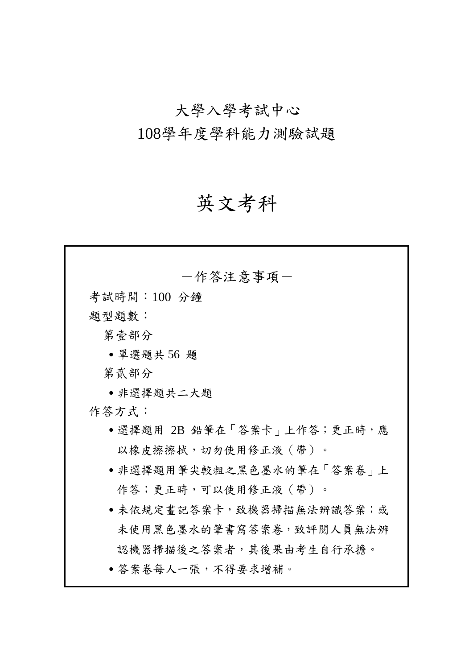# 大學入學考試中心 108學年度學科能力測驗試題

# 英文考科

| 一作答注意事項-                      |
|-------------------------------|
| 考試時間:100 分鐘                   |
| 題型題數:                         |
| 第壹部分                          |
| • 單選題共 56 題                   |
| 第貳部分                          |
| ●非選擇題共二大題                     |
| 作答方式:                         |
| • 選擇題用 2B 鉛筆在「答案卡 ¦ 上作答;更正時,應 |
| 以橡皮擦擦拭,切勿使用修正液(帶)。            |
| • 非選擇題用筆尖較粗之黑色墨水的筆在「答案卷」上     |
| 作答;更正時,可以使用修正液 ( 帶 ) 。        |
| • 未依規定畫記答案卡,致機器掃描無法辨識答案;或     |
| 未使用黑色墨水的筆書寫答案卷,致評閱人員無法辨       |
| 認機器掃描後之答案者,其後果由考生自行承擔。        |
| • 答案卷每人一張,不得要求增補。             |
|                               |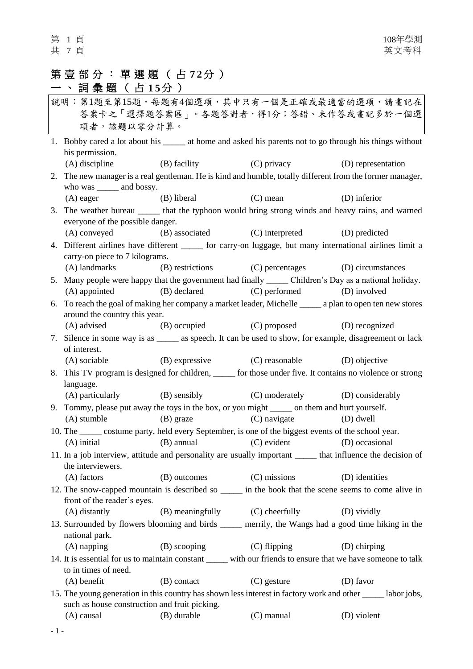## 第壹部分:單選題 ( 占 **7 2** 分 )

| 一 、詞彙題(占15分)                                                                                                                                                  |                                                                                                              |                                 |                                              |                    |
|---------------------------------------------------------------------------------------------------------------------------------------------------------------|--------------------------------------------------------------------------------------------------------------|---------------------------------|----------------------------------------------|--------------------|
| 說明:第1題至第15題,每題有4個選項,其中只有一個是正確或最適當的選項,請畫記在                                                                                                                     |                                                                                                              |                                 |                                              |                    |
|                                                                                                                                                               |                                                                                                              |                                 | 答案卡之「選擇題答案區」。各題答對者,得1分;答錯、未作答或畫記多於一個選        |                    |
|                                                                                                                                                               | 項者,該題以零分計算。                                                                                                  |                                 |                                              |                    |
|                                                                                                                                                               | 1. Bobby cared a lot about his ______ at home and asked his parents not to go through his things without     |                                 |                                              |                    |
|                                                                                                                                                               | his permission.                                                                                              |                                 |                                              |                    |
|                                                                                                                                                               | $(A)$ discipline                                                                                             | (B) facility                    | (C) privacy                                  | (D) representation |
|                                                                                                                                                               | 2. The new manager is a real gentleman. He is kind and humble, totally different from the former manager,    |                                 |                                              |                    |
|                                                                                                                                                               | who was _______ and bossy.                                                                                   |                                 |                                              |                    |
|                                                                                                                                                               | (A) eager                                                                                                    | (B) liberal                     | $(C)$ mean                                   | (D) inferior       |
|                                                                                                                                                               | 3. The weather bureau _______ that the typhoon would bring strong winds and heavy rains, and warned          |                                 |                                              |                    |
|                                                                                                                                                               | everyone of the possible danger.                                                                             |                                 |                                              |                    |
|                                                                                                                                                               | (A) conveyed                                                                                                 |                                 | (B) associated (C) interpreted               | (D) predicted      |
|                                                                                                                                                               | 4. Different airlines have different ______ for carry-on luggage, but many international airlines limit a    |                                 |                                              |                    |
|                                                                                                                                                               | carry-on piece to 7 kilograms.                                                                               |                                 |                                              |                    |
|                                                                                                                                                               | (A) landmarks                                                                                                |                                 | (B) restrictions (C) percentages             | (D) circumstances  |
|                                                                                                                                                               | 5. Many people were happy that the government had finally _______ Children's Day as a national holiday.      |                                 |                                              |                    |
|                                                                                                                                                               | (A) appointed                                                                                                | (B) declared                    | (C) performed                                | (D) involved       |
|                                                                                                                                                               | 6. To reach the goal of making her company a market leader, Michelle _______ a plan to open ten new stores   |                                 |                                              |                    |
|                                                                                                                                                               | around the country this year.                                                                                |                                 |                                              |                    |
|                                                                                                                                                               | (A) advised                                                                                                  | (B) occupied                    | (C) proposed                                 | (D) recognized     |
|                                                                                                                                                               | 7. Silence in some way is as _______ as speech. It can be used to show, for example, disagreement or lack    |                                 |                                              |                    |
|                                                                                                                                                               | of interest.                                                                                                 |                                 |                                              |                    |
|                                                                                                                                                               | (A) sociable                                                                                                 |                                 | (B) expressive (C) reasonable (D) objective  |                    |
|                                                                                                                                                               | 8. This TV program is designed for children, _____ for those under five. It contains no violence or strong   |                                 |                                              |                    |
|                                                                                                                                                               | language.                                                                                                    |                                 |                                              |                    |
|                                                                                                                                                               |                                                                                                              |                                 | (A) particularly (B) sensibly (C) moderately | (D) considerably   |
|                                                                                                                                                               | 9. Tommy, please put away the toys in the box, or you might _______ on them and hurt yourself.               |                                 |                                              |                    |
|                                                                                                                                                               | (A) stumble                                                                                                  | $(B)$ graze                     | (C) navigate                                 | $(D)$ dwell        |
|                                                                                                                                                               | 10. The ______ costume party, held every September, is one of the biggest events of the school year.         |                                 |                                              |                    |
|                                                                                                                                                               | (A) initial                                                                                                  | (B) annual                      | (C) evident (D) occasional                   |                    |
|                                                                                                                                                               | 11. In a job interview, attitude and personality are usually important ______ that influence the decision of |                                 |                                              |                    |
|                                                                                                                                                               | the interviewers.                                                                                            |                                 |                                              |                    |
|                                                                                                                                                               | (A) factors                                                                                                  | (B) outcomes                    | (C) missions                                 | (D) identities     |
| 12. The snow-capped mountain is described so ______ in the book that the scene seems to come alive in                                                         |                                                                                                              |                                 |                                              |                    |
|                                                                                                                                                               | front of the reader's eyes.                                                                                  |                                 |                                              |                    |
|                                                                                                                                                               | (A) distantly                                                                                                | (B) meaningfully (C) cheerfully |                                              | (D) vividly        |
|                                                                                                                                                               | 13. Surrounded by flowers blooming and birds _____ merrily, the Wangs had a good time hiking in the          |                                 |                                              |                    |
|                                                                                                                                                               | national park.                                                                                               |                                 |                                              |                    |
|                                                                                                                                                               | $(A)$ napping                                                                                                | (B) scooping                    | (C) flipping                                 | (D) chirping       |
| 14. It is essential for us to maintain constant ______ with our friends to ensure that we have someone to talk<br>to in times of need.                        |                                                                                                              |                                 |                                              |                    |
|                                                                                                                                                               | $(A)$ benefit                                                                                                | (B) contact                     | $(C)$ gesture                                | (D) favor          |
|                                                                                                                                                               |                                                                                                              |                                 |                                              |                    |
| 15. The young generation in this country has shown less interest in factory work and other _____ labor jobs,<br>such as house construction and fruit picking. |                                                                                                              |                                 |                                              |                    |
|                                                                                                                                                               | (A) causal                                                                                                   | (B) durable                     | (C) manual                                   | (D) violent        |
|                                                                                                                                                               |                                                                                                              |                                 |                                              |                    |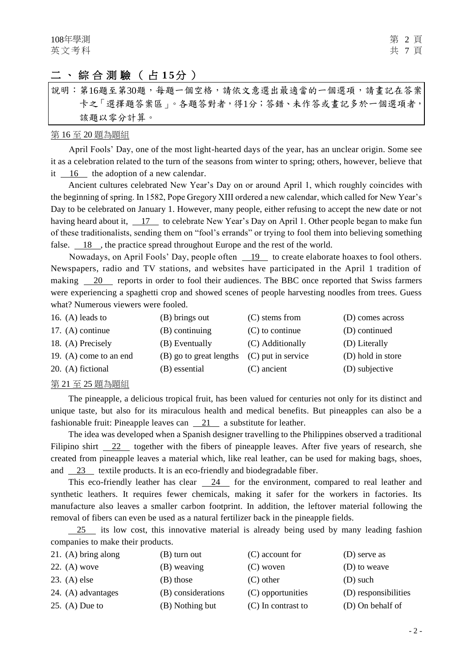## 二、綜合測驗(占15分)

說明︰第16題至第30題,每題一個空格,請依文意選出最適當的一個選項,請畫記在答案 卡之「選擇題答案區」。各題答對者,得1分;答錯、未作答或畫記多於一個選項者, 該題以零分計算。

#### 第 16 至 20 題為題組

April Fools' Day, one of the most light-hearted days of the year, has an unclear origin. Some see it as a celebration related to the turn of the seasons from winter to spring; others, however, believe that it 16 the adoption of a new calendar.

Ancient cultures celebrated New Year's Day on or around April 1, which roughly coincides with the beginning of spring. In 1582, Pope Gregory XIII ordered a new calendar, which called for New Year's Day to be celebrated on January 1. However, many people, either refusing to accept the new date or not having heard about it, 17 to celebrate New Year's Day on April 1. Other people began to make fun of these traditionalists, sending them on "fool's errands" or trying to fool them into believing something false.  $\frac{18}{18}$ , the practice spread throughout Europe and the rest of the world.

Nowadays, on April Fools' Day, people often 19 to create elaborate hoaxes to fool others. Newspapers, radio and TV stations, and websites have participated in the April 1 tradition of making 20 reports in order to fool their audiences. The BBC once reported that Swiss farmers were experiencing a spaghetti crop and showed scenes of people harvesting noodles from trees. Guess what? Numerous viewers were fooled.

| 16. (A) leads to         | (B) brings out          | $(C)$ stems from     | (D) comes across  |
|--------------------------|-------------------------|----------------------|-------------------|
| 17. $(A)$ continue       | $(B)$ continuing        | $(C)$ to continue    | (D) continued     |
| 18. (A) Precisely        | (B) Eventually          | (C) Additionally     | (D) Literally     |
| 19. $(A)$ come to an end | (B) go to great lengths | $(C)$ put in service | (D) hold in store |
| 20. (A) fictional        | (B) essential           | $(C)$ ancient        | (D) subjective    |

#### 第 21 至 25 題為題組

The pineapple, a delicious tropical fruit, has been valued for centuries not only for its distinct and unique taste, but also for its miraculous health and medical benefits. But pineapples can also be a fashionable fruit: Pineapple leaves can 21 a substitute for leather.

The idea was developed when a Spanish designer travelling to the Philippines observed a traditional Filipino shirt 22 together with the fibers of pineapple leaves. After five years of research, she created from pineapple leaves a material which, like real leather, can be used for making bags, shoes, and 23 textile products. It is an eco-friendly and biodegradable fiber.

This eco-friendly leather has clear 24 for the environment, compared to real leather and synthetic leathers. It requires fewer chemicals, making it safer for the workers in factories. Its manufacture also leaves a smaller carbon footprint. In addition, the leftover material following the removal of fibers can even be used as a natural fertilizer back in the pineapple fields.

 25 its low cost, this innovative material is already being used by many leading fashion companies to make their products.

| 21. (A) bring along | (B) turn out       | $(C)$ account for    | (D) serve as         |
|---------------------|--------------------|----------------------|----------------------|
| $22. (A)$ wove      | (B) weaving        | (C) woven            | (D) to weave         |
| $23. (A)$ else      | (B) those          | $(C)$ other          | (D) such             |
| 24. (A) advantages  | (B) considerations | (C) opportunities    | (D) responsibilities |
| 25. (A) Due to      | (B) Nothing but    | $(C)$ In contrast to | (D) On behalf of     |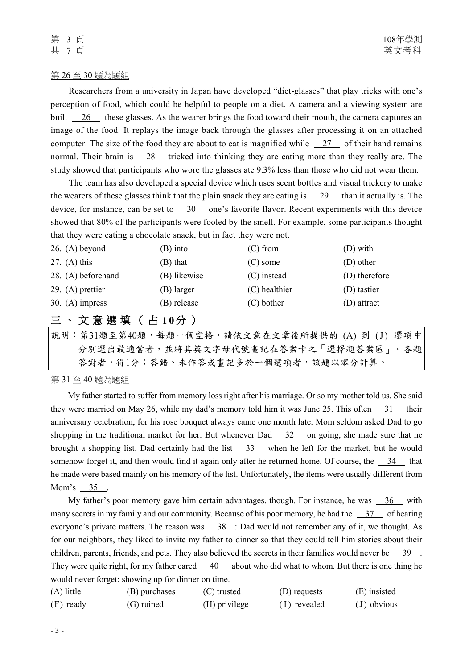#### 第 26 至 30 題為題組

Researchers from a university in Japan have developed "diet-glasses" that play tricks with one's perception of food, which could be helpful to people on a diet. A camera and a viewing system are built  $\overline{26}$  these glasses. As the wearer brings the food toward their mouth, the camera captures an image of the food. It replays the image back through the glasses after processing it on an attached computer. The size of the food they are about to eat is magnified while 27 of their hand remains normal. Their brain is  $\frac{28}{100}$  tricked into thinking they are eating more than they really are. The study showed that participants who wore the glasses ate 9.3% less than those who did not wear them.

The team has also developed a special device which uses scent bottles and visual trickery to make the wearers of these glasses think that the plain snack they are eating is 29 than it actually is. The device, for instance, can be set to  $\frac{30}{100}$  one's favorite flavor. Recent experiments with this device showed that 80% of the participants were fooled by the smell. For example, some participants thought that they were eating a chocolate snack, but in fact they were not.

| $26. (A)$ beyond                          | (B) into     | $(C)$ from    | $(D)$ with    |
|-------------------------------------------|--------------|---------------|---------------|
| 27. (A) this                              | (B) that     | $(C)$ some    | (D) other     |
| 28. (A) beforehand                        | (B) likewise | (C) instead   | (D) therefore |
| 29. $(A)$ prettier                        | (B) larger   | (C) healthier | (D) tastier   |
| 30. $(A)$ impress                         | (B) release  | $(C)$ bother  | $(D)$ attract |
| 三、文意選填(占10分)                              |              |               |               |
| 說明:第31題至第40題,每題一個空格,請依文意在文章後所提供的 (A) 到(J) |              |               | 選項中           |

分別選出最適當者,並將其英文字母代號畫記在答案卡之「選擇題答案區」。各題 答對者,得1分;答錯、未作答或畫記多於一個選項者,該題以零分計算。

### 第 31 至 40 題為題組

My father started to suffer from memory loss right after his marriage. Or so my mother told us. She said they were married on May 26, while my dad's memory told him it was June 25. This often  $\frac{31}{10}$  their anniversary celebration, for his rose bouquet always came one month late. Mom seldom asked Dad to go shopping in the traditional market for her. But whenever Dad  $\frac{32}{2}$  on going, she made sure that he brought a shopping list. Dad certainly had the list 33 when he left for the market, but he would somehow forget it, and then would find it again only after he returned home. Of course, the  $\frac{34}{100}$  that he made were based mainly on his memory of the list. Unfortunately, the items were usually different from Mom's 35.

My father's poor memory gave him certain advantages, though. For instance, he was  $\frac{36}{10}$  with many secrets in my family and our community. Because of his poor memory, he had the  $\frac{37}{10}$  of hearing everyone's private matters. The reason was  $\frac{38}{100}$ : Dad would not remember any of it, we thought. As for our neighbors, they liked to invite my father to dinner so that they could tell him stories about their children, parents, friends, and pets. They also believed the secrets in their families would never be  $\frac{39}{\cdot}$ . They were quite right, for my father cared  $40$  about who did what to whom. But there is one thing he would never forget: showing up for dinner on time.

| $(A)$ little | (B) purchases | (C) trusted   | (D) requests | (E) insisted  |
|--------------|---------------|---------------|--------------|---------------|
| (F) ready    | (G) ruined    | (H) privilege | (1) revealed | $(J)$ obvious |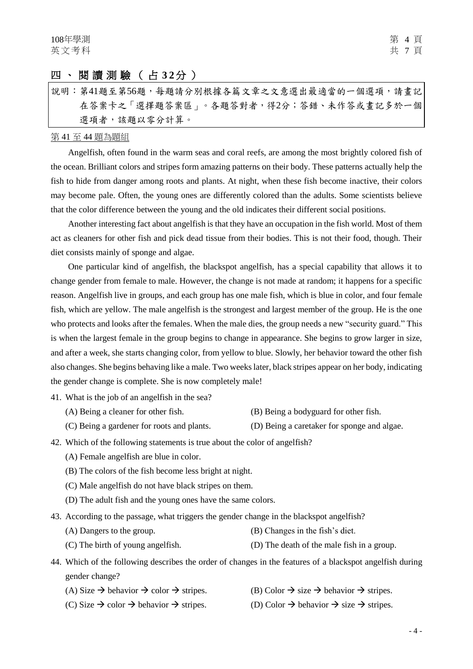### 四、閱讀測驗 ( 占 **3 2**分 )

說明:第41題至第56題,每題請分別根據各篇文章之文意選出最適當的一個選項,請畫記 在答案卡之「選擇題答案區」。各題答對者,得2分;答錯、未作答或畫記多於一個 選項者,該題以零分計算。

#### 第 41 至 44 題為題組

Angelfish, often found in the warm seas and coral reefs, are among the most brightly colored fish of the ocean. Brilliant colors and stripes form amazing patterns on their body. These patterns actually help the fish to hide from danger among roots and plants. At night, when these fish become inactive, their colors may become pale. Often, the young ones are differently colored than the adults. Some scientists believe that the color difference between the young and the old indicates their different social positions.

Another interesting fact about angelfish is that they have an occupation in the fish world. Most of them act as cleaners for other fish and pick dead tissue from their bodies. This is not their food, though. Their diet consists mainly of sponge and algae.

One particular kind of angelfish, the blackspot angelfish, has a special capability that allows it to change gender from female to male. However, the change is not made at random; it happens for a specific reason. Angelfish live in groups, and each group has one male fish, which is blue in color, and four female fish, which are yellow. The male angelfish is the strongest and largest member of the group. He is the one who protects and looks after the females. When the male dies, the group needs a new "security guard." This is when the largest female in the group begins to change in appearance. She begins to grow larger in size, and after a week, she starts changing color, from yellow to blue. Slowly, her behavior toward the other fish also changes. She begins behaving like a male. Two weeks later, black stripes appear on her body, indicating the gender change is complete. She is now completely male!

- 41. What is the job of an angelfish in the sea?
	- (A) Being a cleaner for other fish. (B) Being a bodyguard for other fish.
	- (C) Being a gardener for roots and plants. (D) Being a caretaker for sponge and algae.
- 42. Which of the following statements is true about the color of angelfish?
	- (A) Female angelfish are blue in color.
	- (B) The colors of the fish become less bright at night.
	- (C) Male angelfish do not have black stripes on them.
	- (D) The adult fish and the young ones have the same colors.
- 43. According to the passage, what triggers the gender change in the blackspot angelfish?
	- (A) Dangers to the group. (B) Changes in the fish's diet.
	- (C) The birth of young angelfish. (D) The death of the male fish in a group.
- 44. Which of the following describes the order of changes in the features of a blackspot angelfish during gender change?
	- (A) Size  $\rightarrow$  behavior  $\rightarrow$  color  $\rightarrow$  stripes. (B) Color  $\rightarrow$  size  $\rightarrow$  behavior  $\rightarrow$  stripes.
	- (C) Size  $\rightarrow$  color  $\rightarrow$  behavior  $\rightarrow$  stripes. (D) Color  $\rightarrow$  behavior  $\rightarrow$  size  $\rightarrow$  stripes.
-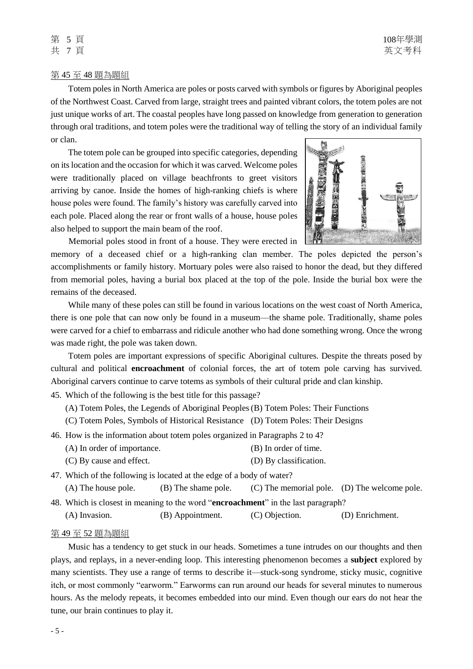#### 第 45 至 48 題為題組

Totem poles in North America are poles or posts carved with symbols or figures by Aboriginal peoples of the Northwest Coast. Carved from large, straight trees and painted vibrant colors, the totem poles are not just unique works of art. The coastal peoples have long passed on knowledge from generation to generation through oral traditions, and totem poles were the traditional way of telling the story of an individual family or clan.

The totem pole can be grouped into specific categories, depending on its location and the occasion for which it was carved. Welcome poles were traditionally placed on village beachfronts to greet visitors arriving by canoe. Inside the homes of high-ranking chiefs is where house poles were found. The family's history was carefully carved into each pole. Placed along the rear or front walls of a house, house poles also helped to support the main beam of the roof.



Memorial poles stood in front of a house. They were erected in

memory of a deceased chief or a high-ranking clan member. The poles depicted the person's accomplishments or family history. Mortuary poles were also raised to honor the dead, but they differed from memorial poles, having a burial box placed at the top of the pole. Inside the burial box were the remains of the deceased.

While many of these poles can still be found in various locations on the west coast of North America, there is one pole that can now only be found in a museum—the shame pole. Traditionally, shame poles were carved for a chief to embarrass and ridicule another who had done something wrong. Once the wrong was made right, the pole was taken down.

Totem poles are important expressions of specific Aboriginal cultures. Despite the threats posed by cultural and political **encroachment** of colonial forces, the art of totem pole carving has survived. Aboriginal carvers continue to carve totems as symbols of their cultural pride and clan kinship.

45. Which of the following is the best title for this passage?

(A) Totem Poles, the Legends of Aboriginal Peoples(B) Totem Poles: Their Functions

(C) Totem Poles, Symbols of Historical Resistance (D) Totem Poles: Their Designs

46. How is the information about totem poles organized in Paragraphs 2 to 4?

- (A) In order of importance. (B) In order of time.
- (C) By cause and effect. (D) By classification.

47. Which of the following is located at the edge of a body of water? (A) The house pole. (B) The shame pole. (C) The memorial pole. (D) The welcome pole. 48. Which is closest in meaning to the word "**encroachment**" in the last paragraph?

(A) Invasion. (B) Appointment. (C) Objection. (D) Enrichment.

#### 第 49 至 52 題為題組

Music has a tendency to get stuck in our heads. Sometimes a tune intrudes on our thoughts and then plays, and replays, in a never-ending loop. This interesting phenomenon becomes a **subject** explored by many scientists. They use a range of terms to describe it—stuck-song syndrome, sticky music, cognitive itch, or most commonly "earworm." Earworms can run around our heads for several minutes to numerous hours. As the melody repeats, it becomes embedded into our mind. Even though our ears do not hear the tune, our brain continues to play it.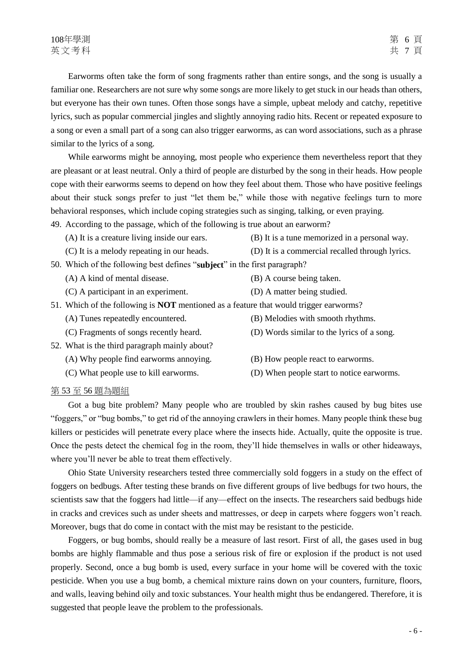Earworms often take the form of song fragments rather than entire songs, and the song is usually a familiar one. Researchers are not sure why some songs are more likely to get stuck in our heads than others, but everyone has their own tunes. Often those songs have a simple, upbeat melody and catchy, repetitive lyrics, such as popular commercial jingles and slightly annoying radio hits. Recent or repeated exposure to a song or even a small part of a song can also trigger earworms, as can word associations, such as a phrase similar to the lyrics of a song.

While earworms might be annoying, most people who experience them nevertheless report that they are pleasant or at least neutral. Only a third of people are disturbed by the song in their heads. How people cope with their earworms seems to depend on how they feel about them. Those who have positive feelings about their stuck songs prefer to just "let them be," while those with negative feelings turn to more behavioral responses, which include coping strategies such as singing, talking, or even praying.

49. According to the passage, which of the following is true about an earworm?

- (A) It is a creature living inside our ears. (B) It is a tune memorized in a personal way.
- (C) It is a melody repeating in our heads. (D) It is a commercial recalled through lyrics.
- 50. Which of the following best defines "**subject**" in the first paragraph?
	- (A) A kind of mental disease. (B) A course being taken.
	- (C) A participant in an experiment. (D) A matter being studied.
- 51. Which of the following is **NOT** mentioned as a feature that would trigger earworms?
	- (A) Tunes repeatedly encountered. (B) Melodies with smooth rhythms.
	- (C) Fragments of songs recently heard. (D) Words similar to the lyrics of a song.
- 52. What is the third paragraph mainly about?
	- (A) Why people find earworms annoying. (B) How people react to earworms.
	-
- 
- 
- (C) What people use to kill earworms. (D) When people start to notice earworms.

#### 第 53 至 56 題為題組

Got a bug bite problem? Many people who are troubled by skin rashes caused by bug bites use "foggers," or "bug bombs," to get rid of the annoying crawlers in their homes. Many people think these bug killers or pesticides will penetrate every place where the insects hide. Actually, quite the opposite is true. Once the pests detect the chemical fog in the room, they'll hide themselves in walls or other hideaways, where you'll never be able to treat them effectively.

Ohio State University researchers tested three commercially sold foggers in a study on the effect of foggers on bedbugs. After testing these brands on five different groups of live bedbugs for two hours, the scientists saw that the foggers had little—if any—effect on the insects. The researchers said bedbugs hide in cracks and crevices such as under sheets and mattresses, or deep in carpets where foggers won't reach. Moreover, bugs that do come in contact with the mist may be resistant to the pesticide.

Foggers, or bug bombs, should really be a measure of last resort. First of all, the gases used in bug bombs are highly flammable and thus pose a serious risk of fire or explosion if the product is not used properly. Second, once a bug bomb is used, every surface in your home will be covered with the toxic pesticide. When you use a bug bomb, a chemical mixture rains down on your counters, furniture, floors, and walls, leaving behind oily and toxic substances. Your health might thus be endangered. Therefore, it is suggested that people leave the problem to the professionals.